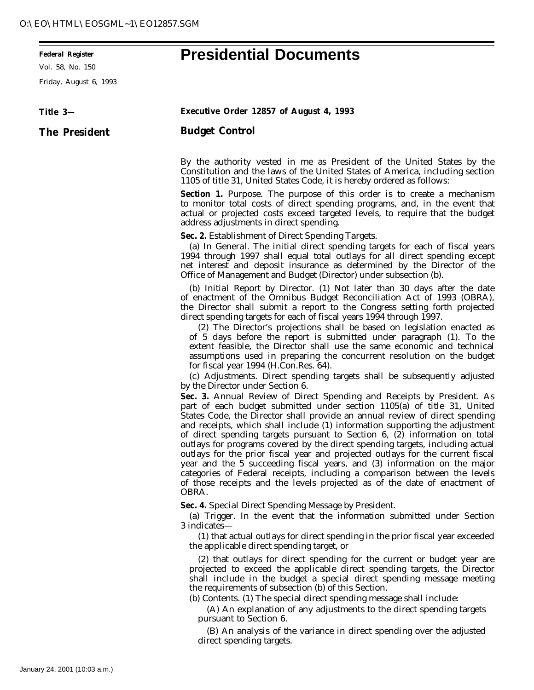## **Federal Register Presidential Documents**

Vol. 58, No. 150

 $\equiv$ 

Friday, August 6, 1993

| Title 3—      | <b>Executive Order 12857 of August 4, 1993</b>                                                                                                                                                                                                                                                                                                                                                                                                                                                                                                                                                                                                                                                                                                                                                                                                                                                                                                                                                                                                                                                                                                                                                                                                                                                                                                                                                                                                                                                                                                                                                    |
|---------------|---------------------------------------------------------------------------------------------------------------------------------------------------------------------------------------------------------------------------------------------------------------------------------------------------------------------------------------------------------------------------------------------------------------------------------------------------------------------------------------------------------------------------------------------------------------------------------------------------------------------------------------------------------------------------------------------------------------------------------------------------------------------------------------------------------------------------------------------------------------------------------------------------------------------------------------------------------------------------------------------------------------------------------------------------------------------------------------------------------------------------------------------------------------------------------------------------------------------------------------------------------------------------------------------------------------------------------------------------------------------------------------------------------------------------------------------------------------------------------------------------------------------------------------------------------------------------------------------------|
| The President | <b>Budget Control</b>                                                                                                                                                                                                                                                                                                                                                                                                                                                                                                                                                                                                                                                                                                                                                                                                                                                                                                                                                                                                                                                                                                                                                                                                                                                                                                                                                                                                                                                                                                                                                                             |
|               | By the authority vested in me as President of the United States by the<br>Constitution and the laws of the United States of America, including section<br>1105 of title 31, United States Code, it is hereby ordered as follows:                                                                                                                                                                                                                                                                                                                                                                                                                                                                                                                                                                                                                                                                                                                                                                                                                                                                                                                                                                                                                                                                                                                                                                                                                                                                                                                                                                  |
|               | <b>Section 1.</b> Purpose. The purpose of this order is to create a mechanism<br>to monitor total costs of direct spending programs, and, in the event that<br>actual or projected costs exceed targeted levels, to require that the budget<br>address adjustments in direct spending.                                                                                                                                                                                                                                                                                                                                                                                                                                                                                                                                                                                                                                                                                                                                                                                                                                                                                                                                                                                                                                                                                                                                                                                                                                                                                                            |
|               | Sec. 2. Establishment of Direct Spending Targets.<br>(a) In General. The initial direct spending targets for each of fiscal years<br>1994 through 1997 shall equal total outlays for all direct spending except<br>net interest and deposit insurance as determined by the Director of the<br>Office of Management and Budget (Director) under subsection (b).                                                                                                                                                                                                                                                                                                                                                                                                                                                                                                                                                                                                                                                                                                                                                                                                                                                                                                                                                                                                                                                                                                                                                                                                                                    |
|               | (b) Initial Report by Director. (1) Not later than 30 days after the date<br>of enactment of the Omnibus Budget Reconciliation Act of 1993 (OBRA),<br>the Director shall submit a report to the Congress setting forth projected<br>direct spending targets for each of fiscal years 1994 through 1997.<br>(2) The Director's projections shall be based on legislation enacted as<br>of 5 days before the report is submitted under paragraph (1). To the<br>extent feasible, the Director shall use the same economic and technical<br>assumptions used in preparing the concurrent resolution on the budget<br>for fiscal year 1994 (H.Con.Res. 64).<br>(c) <i>Adjustments</i> . Direct spending targets shall be subsequently adjusted<br>by the Director under Section 6.<br>Sec. 3. Annual Review of Direct Spending and Receipts by President. As<br>part of each budget submitted under section 1105(a) of title 31, United<br>States Code, the Director shall provide an annual review of direct spending<br>and receipts, which shall include (1) information supporting the adjustment<br>of direct spending targets pursuant to Section 6, (2) information on total<br>outlays for programs covered by the direct spending targets, including actual<br>outlays for the prior fiscal year and projected outlays for the current fiscal<br>year and the 5 succeeding fiscal years, and (3) information on the major<br>categories of Federal receipts, including a comparison between the levels<br>of those receipts and the levels projected as of the date of enactment of<br>OBRA. |
|               | Sec. 4. Special Direct Spending Message by President.<br>(a) Trigger. In the event that the information submitted under Section<br>3 indicates—<br>(1) that actual outlays for direct spending in the prior fiscal year exceeded<br>the applicable direct spending target, or                                                                                                                                                                                                                                                                                                                                                                                                                                                                                                                                                                                                                                                                                                                                                                                                                                                                                                                                                                                                                                                                                                                                                                                                                                                                                                                     |
|               | (2) that outlays for direct spending for the current or budget year are<br>projected to exceed the applicable direct spending targets, the Director<br>shall include in the budget a special direct spending message meeting<br>the requirements of subsection (b) of this Section.<br>(b) Contents. (1) The special direct spending message shall include:<br>(A) An explanation of any adjustments to the direct spending targets<br>pursuant to Section 6.                                                                                                                                                                                                                                                                                                                                                                                                                                                                                                                                                                                                                                                                                                                                                                                                                                                                                                                                                                                                                                                                                                                                     |
|               | (R) An analysis of the variance in direct spending over the adjusted                                                                                                                                                                                                                                                                                                                                                                                                                                                                                                                                                                                                                                                                                                                                                                                                                                                                                                                                                                                                                                                                                                                                                                                                                                                                                                                                                                                                                                                                                                                              |

(B) An analysis of the variance in direct spending over the adjusted direct spending targets.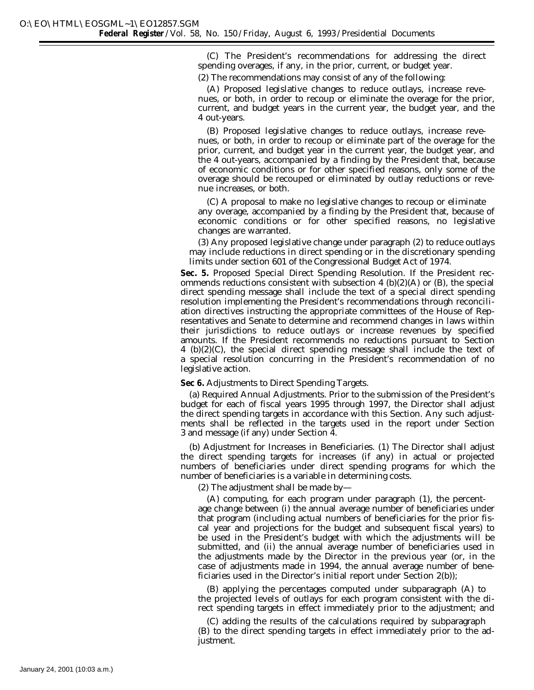(C) The President's recommendations for addressing the direct spending overages, if any, in the prior, current, or budget year.

(2) The recommendations may consist of any of the following:

(A) Proposed legislative changes to reduce outlays, increase revenues, or both, in order to recoup or eliminate the overage for the prior, current, and budget years in the current year, the budget year, and the 4 out-years.

(B) Proposed legislative changes to reduce outlays, increase revenues, or both, in order to recoup or eliminate part of the overage for the prior, current, and budget year in the current year, the budget year, and the 4 out-years, accompanied by a finding by the President that, because of economic conditions or for other specified reasons, only some of the overage should be recouped or eliminated by outlay reductions or revenue increases, or both.

(C) A proposal to make no legislative changes to recoup or eliminate any overage, accompanied by a finding by the President that, because of economic conditions or for other specified reasons, no legislative changes are warranted.

(3) Any proposed legislative change under paragraph (2) to reduce outlays may include reductions in direct spending or in the discretionary spending limits under section 601 of the Congressional Budget Act of 1974.

**Sec. 5.** *Proposed Special Direct Spending Resolution.* If the President recommends reductions consistent with subsection 4 (b)(2)(A) or (B), the special direct spending message shall include the text of a special direct spending resolution implementing the President's recommendations through reconciliation directives instructing the appropriate committees of the House of Representatives and Senate to determine and recommend changes in laws within their jurisdictions to reduce outlays or increase revenues by specified amounts. If the President recommends no reductions pursuant to Section 4 (b)(2)(C), the special direct spending message shall include the text of a special resolution concurring in the President's recommendation of no legislative action.

## **Sec 6.** *Adjustments to Direct Spending Targets.*

(a) *Required Annual Adjustments.* Prior to the submission of the President's budget for each of fiscal years 1995 through 1997, the Director shall adjust the direct spending targets in accordance with this Section. Any such adjustments shall be reflected in the targets used in the report under Section 3 and message (if any) under Section 4.

(b) *Adjustment for Increases in Beneficiaries.* (1) The Director shall adjust the direct spending targets for increases (if any) in actual or projected numbers of beneficiaries under direct spending programs for which the number of beneficiaries is a variable in determining costs.

(2) The adjustment shall be made by—

(A) computing, for each program under paragraph (1), the percentage change between (i) the annual average number of beneficiaries under that program (including actual numbers of beneficiaries for the prior fiscal year and projections for the budget and subsequent fiscal years) to be used in the President's budget with which the adjustments will be submitted, and (ii) the annual average number of beneficiaries used in the adjustments made by the Director in the previous year (or, in the case of adjustments made in 1994, the annual average number of beneficiaries used in the Director's initial report under Section 2(b));

(B) applying the percentages computed under subparagraph (A) to the projected levels of outlays for each program consistent with the direct spending targets in effect immediately prior to the adjustment; and

(C) adding the results of the calculations required by subparagraph (B) to the direct spending targets in effect immediately prior to the adjustment.